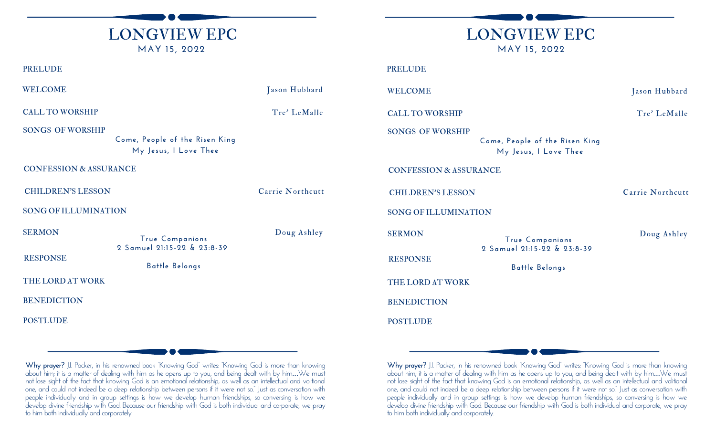



| <b>PRELUDE</b>                                                                     |                                               |                                                                                    | <b>PRELUDE</b>              |                                                                  |                  |  |
|------------------------------------------------------------------------------------|-----------------------------------------------|------------------------------------------------------------------------------------|-----------------------------|------------------------------------------------------------------|------------------|--|
| <b>WELCOME</b>                                                                     |                                               | Jason Hubbard                                                                      | <b>WELCOME</b>              |                                                                  |                  |  |
| <b>CALL TO WORSHIP</b>                                                             |                                               | Tre' LeMalle                                                                       | <b>CALL TO WORSHIP</b>      |                                                                  |                  |  |
| <b>SONGS OF WORSHIP</b><br>Come, People of the Risen King<br>My Jesus, I Love Thee |                                               | <b>SONGS OF WORSHIP</b><br>Come, People of the Risen King<br>My Jesus, I Love Thee |                             |                                                                  |                  |  |
| <b>CONFESSION &amp; ASSURANCE</b>                                                  |                                               |                                                                                    |                             | <b>CONFESSION &amp; ASSURANCE</b>                                |                  |  |
| <b>CHILDREN'S LESSON</b>                                                           |                                               | Carrie Northcutt                                                                   | <b>CHILDREN'S LESSON</b>    |                                                                  | Carrie Northcutt |  |
| <b>SONG OF ILLUMINATION</b>                                                        |                                               |                                                                                    | <b>SONG OF ILLUMINATION</b> |                                                                  |                  |  |
| <b>SERMON</b>                                                                      | True Companions                               | Doug Ashley                                                                        | <b>SERMON</b>               | True Companions<br>2 Samuel 21:15-22 & 23:8-39<br>Battle Belongs | Doug Ashley      |  |
| <b>RESPONSE</b>                                                                    | 2 Samuel 21:15-22 & 23:8-39<br>Battle Belongs |                                                                                    | <b>RESPONSE</b>             |                                                                  |                  |  |
| THE LORD AT WORK                                                                   |                                               |                                                                                    | THE LORD AT WORK            |                                                                  |                  |  |
| <b>BENEDICTION</b>                                                                 |                                               |                                                                                    | <b>BENEDICTION</b>          |                                                                  |                  |  |
| <b>POSTLUDE</b>                                                                    |                                               |                                                                                    | <b>POSTLUDE</b>             |                                                                  |                  |  |
|                                                                                    |                                               |                                                                                    |                             |                                                                  |                  |  |

**Why prayer?** J.I. Packer, in his renowned book "Knowing God" writes: "Knowing God is more than knowing about him; it is a matter of dealing with him as he opens up to you, and being dealt with by him…We must not lose sight of the fact that knowing God is an emotional relationship, as well as an intellectual and volitional one, and could not indeed be a deep relationship between persons if it were not so." Just as conversation with people individually and in group settings is how we develop human friendships, so conversing is how we develop divine friendship with God. Because our friendship with God is both individual and corporate, we pray to him both individually and corporately.

**Why prayer?** J.I. Packer, in his renowned book "Knowing God" writes: "Knowing God is more than knowing about him; it is a matter of dealing with him as he opens up to you, and being dealt with by him…We must not lose sight of the fact that knowing God is an emotional relationship, as well as an intellectual and volitional one, and could not indeed be a deep relationship between persons if it were not so." Just as conversation with people individually and in group settings is how we develop human friendships, so conversing is how we develop divine friendship with God. Because our friendship with God is both individual and corporate, we pray to him both individually and corporately.